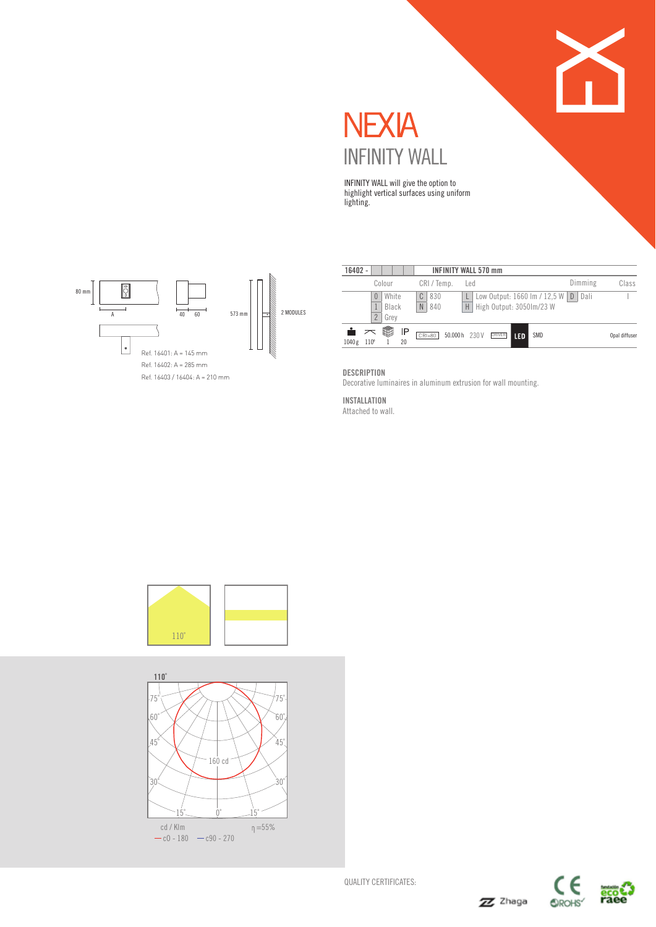

INFINITY WALL will give the option to highlight vertical surfaces using uniform lighting.



| $16402 -$ |                            |                        |          |                                | <b>INFINITY WALL 570 mm</b> |     |               |     |                                                                              |         |               |
|-----------|----------------------------|------------------------|----------|--------------------------------|-----------------------------|-----|---------------|-----|------------------------------------------------------------------------------|---------|---------------|
|           |                            | Colour                 |          | CRI/Temp.                      |                             | Led |               |     |                                                                              | Dimming | Class         |
|           | $\theta$<br>$\overline{2}$ | White<br>Black<br>Grev |          | C<br>830<br>$\mathbb N$<br>840 |                             | Н   |               |     | Low Output: $1660 \text{ Im} / 12,5 \text{ W}$ D<br>High Output: 3050lm/23 W | Dali    |               |
| 1040g     | $110^{\circ}$              | 酃                      | IP<br>20 | $CRI = 80$                     | 50,000 h 230 V              |     | <b>DRIVER</b> | LED | <b>SMD</b>                                                                   |         | Opal diffuser |

#### DESCRIPTION

Decorative luminaires in aluminum extrusion for wall mounting.

INSTALLATION

Attached to wall.





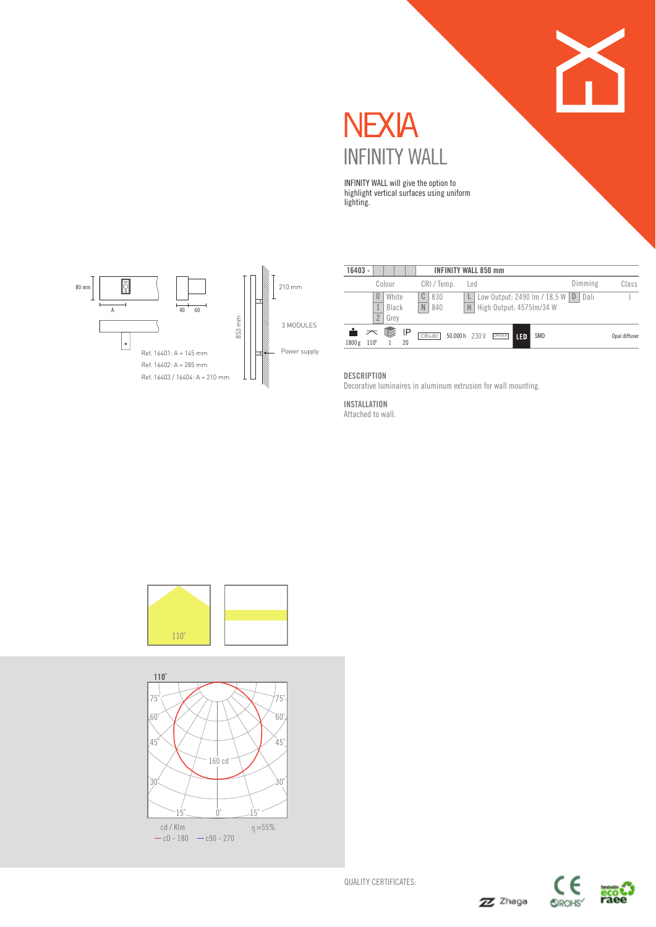

# **NEXIA** INFINITY WALL

INFINITY WALL will give the option to highlight vertical surfaces using uniform lighting.



| 16403 - |                     |                        |          |                      | <b>INFINITY WALL 850 mm</b> |     |               |     |                                                              |         |               |
|---------|---------------------|------------------------|----------|----------------------|-----------------------------|-----|---------------|-----|--------------------------------------------------------------|---------|---------------|
|         |                     | Colour                 |          | CRI / Temp.          |                             | Led |               |     |                                                              | Dimming | Class         |
|         | 0<br>$\overline{2}$ | White<br>Black<br>Grey |          | C<br>830<br>N<br>840 |                             | H   |               |     | Low Output: 2490 Im / 18,5 W   D<br>High Output: 4575Im/34 W | Dali    |               |
| 1800g   | $110^{\circ}$       | ₩                      | IP<br>20 | $CRI = 80$           | 50.000h 230V                |     | <b>DRIVER</b> | LED | SMD                                                          |         | Opal diffuser |

**DESCRIPTION** 

Decorative luminaires in aluminum extrusion for wall mounting.

INSTALLATION Attached to wall.





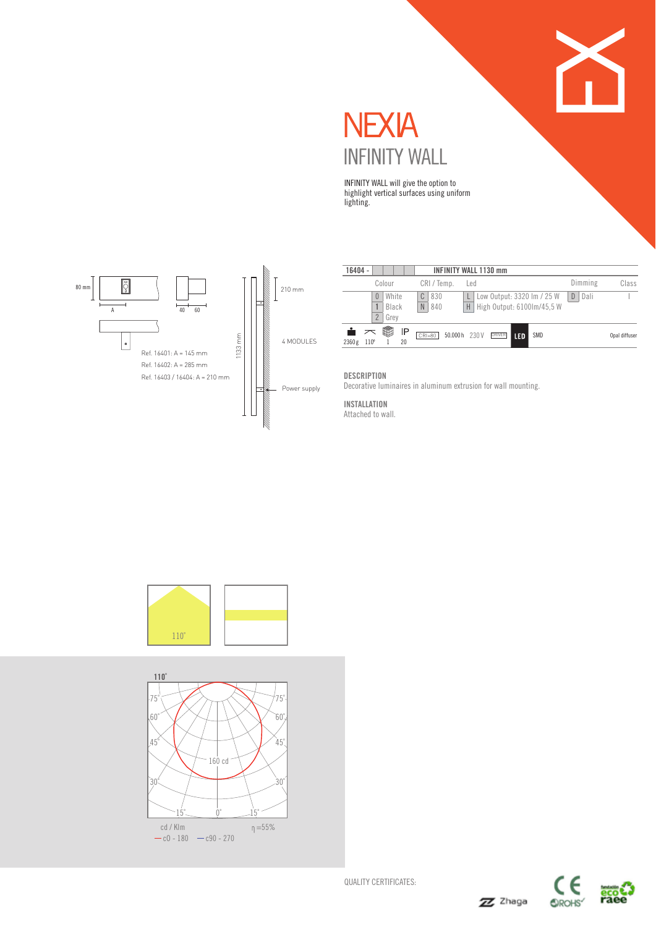

**NEXIA** INFINITY WALL

INFINITY WALL will give the option to highlight vertical surfaces using uniform lighting.



| 16404 - |                                 |                       |                      | <b>INFINITY WALL 1130 mm</b>                                  |               |                   |           |               |
|---------|---------------------------------|-----------------------|----------------------|---------------------------------------------------------------|---------------|-------------------|-----------|---------------|
|         |                                 | Colour                | CRI/Temp.            | Led                                                           |               |                   | Dimming   | Class         |
|         | $\theta$                        | White<br>Black        | C<br>830<br>N<br>840 | Low Output: 3320 Im / 25 W<br>High Output: 6100Im/45.5 W<br>H |               |                   | D<br>Dali |               |
| 2360 g  | $\overline{2}$<br>$110^{\circ}$ | Grev<br>酃<br>IP<br>20 | $CRI = 80$           | 50.000h 230V                                                  | <b>DRIVER</b> | <b>SMD</b><br>LED |           | Opal diffuser |

#### **DESCRIPTION**

Decorative luminaires in aluminum extrusion for wall mounting.

#### INSTALLATION Attached to wall.